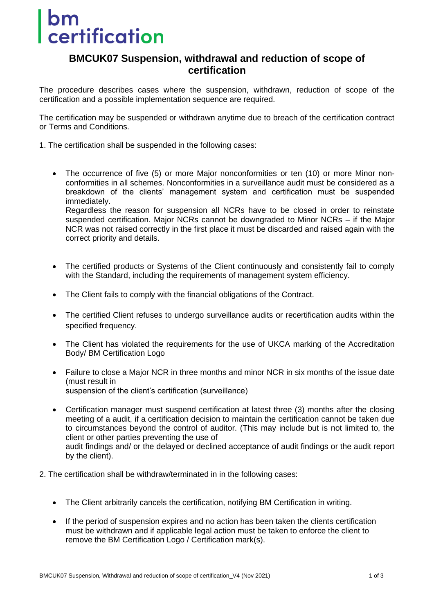# certification

#### **BMCUK07 Suspension, withdrawal and reduction of scope of certification**

The procedure describes cases where the suspension, withdrawn, reduction of scope of the certification and a possible implementation sequence are required.

The certification may be suspended or withdrawn anytime due to breach of the certification contract or Terms and Conditions.

- 1. The certification shall be suspended in the following cases:
	- The occurrence of five (5) or more Major nonconformities or ten (10) or more Minor nonconformities in all schemes. Nonconformities in a surveillance audit must be considered as a breakdown of the clients' management system and certification must be suspended immediately.

Regardless the reason for suspension all NCRs have to be closed in order to reinstate suspended certification. Major NCRs cannot be downgraded to Minor NCRs – if the Major NCR was not raised correctly in the first place it must be discarded and raised again with the correct priority and details.

- The certified products or Systems of the Client continuously and consistently fail to comply with the Standard, including the requirements of management system efficiency.
- The Client fails to comply with the financial obligations of the Contract.
- The certified Client refuses to undergo surveillance audits or recertification audits within the specified frequency.
- The Client has violated the requirements for the use of UKCA marking of the Accreditation Body/ BM Certification Logo
- Failure to close a Major NCR in three months and minor NCR in six months of the issue date (must result in suspension of the client's certification (surveillance)
- Certification manager must suspend certification at latest three (3) months after the closing meeting of a audit, if a certification decision to maintain the certification cannot be taken due to circumstances beyond the control of auditor. (This may include but is not limited to, the client or other parties preventing the use of audit findings and/ or the delayed or declined acceptance of audit findings or the audit report by the client).
- 2. The certification shall be withdraw/terminated in in the following cases:
	- The Client arbitrarily cancels the certification, notifying BM Certification in writing.
	- If the period of suspension expires and no action has been taken the clients certification must be withdrawn and if applicable legal action must be taken to enforce the client to remove the BM Certification Logo / Certification mark(s).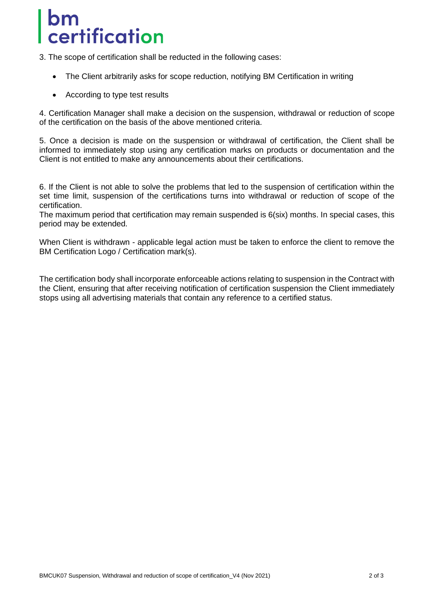# ----<br>certification

3. The scope of certification shall be reducted in the following cases:

- The Client arbitrarily asks for scope reduction, notifying BM Certification in writing
- According to type test results

4. Certification Manager shall make a decision on the suspension, withdrawal or reduction of scope of the certification on the basis of the above mentioned criteria.

5. Once a decision is made on the suspension or withdrawal of certification, the Client shall be informed to immediately stop using any certification marks on products or documentation and the Client is not entitled to make any announcements about their certifications.

6. If the Client is not able to solve the problems that led to the suspension of certification within the set time limit, suspension of the certifications turns into withdrawal or reduction of scope of the certification.

The maximum period that certification may remain suspended is 6(six) months. In special cases, this period may be extended.

When Client is withdrawn - applicable legal action must be taken to enforce the client to remove the BM Certification Logo / Certification mark(s).

The certification body shall incorporate enforceable actions relating to suspension in the Contract with the Client, ensuring that after receiving notification of certification suspension the Client immediately stops using all advertising materials that contain any reference to a certified status.